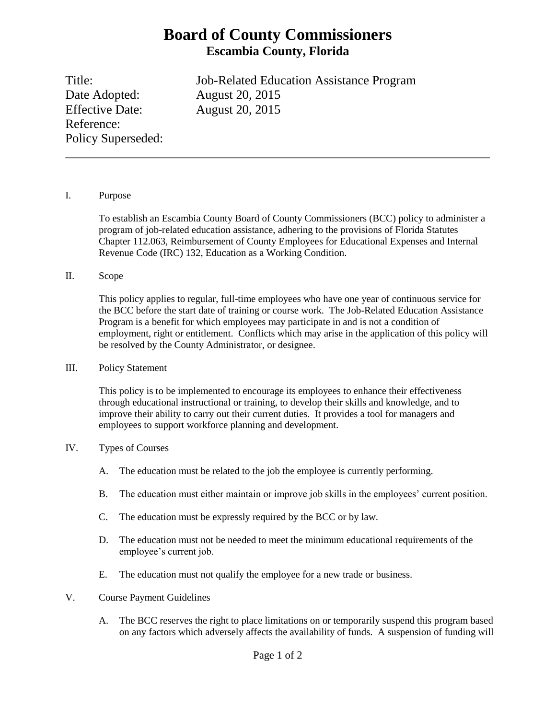# **Board of County Commissioners Escambia County, Florida**

Date Adopted: August 20, 2015 Effective Date: August 20, 2015 Reference: Policy Superseded:

Title: Job-Related Education Assistance Program

## I. Purpose

To establish an Escambia County Board of County Commissioners (BCC) policy to administer a program of job-related education assistance, adhering to the provisions of Florida Statutes Chapter 112.063, Reimbursement of County Employees for Educational Expenses and Internal Revenue Code (IRC) 132, Education as a Working Condition.

## II. Scope

This policy applies to regular, full-time employees who have one year of continuous service for the BCC before the start date of training or course work. The Job-Related Education Assistance Program is a benefit for which employees may participate in and is not a condition of employment, right or entitlement. Conflicts which may arise in the application of this policy will be resolved by the County Administrator, or designee.

## III. Policy Statement

This policy is to be implemented to encourage its employees to enhance their effectiveness through educational instructional or training, to develop their skills and knowledge, and to improve their ability to carry out their current duties. It provides a tool for managers and employees to support workforce planning and development.

## IV. Types of Courses

- A. The education must be related to the job the employee is currently performing.
- B. The education must either maintain or improve job skills in the employees' current position.
- C. The education must be expressly required by the BCC or by law.
- D. The education must not be needed to meet the minimum educational requirements of the employee's current job.
- E. The education must not qualify the employee for a new trade or business.
- V. Course Payment Guidelines
	- A. The BCC reserves the right to place limitations on or temporarily suspend this program based on any factors which adversely affects the availability of funds. A suspension of funding will